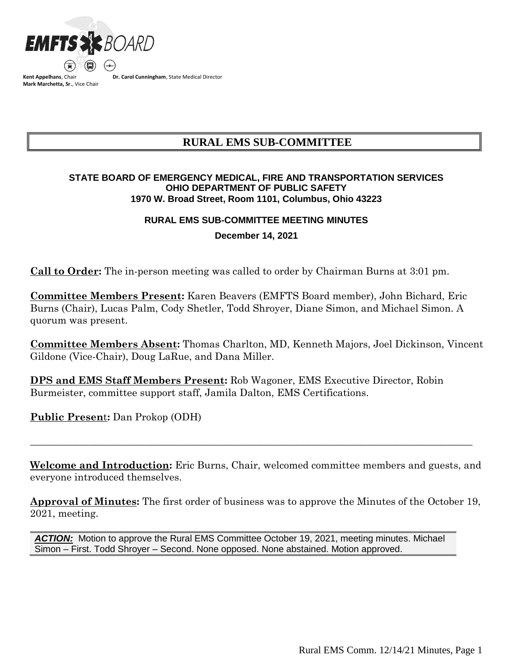

**Kent Appelhans**, Chair **Mark Marchetta, Sr.**, Vice Chair **Dr. Carol Cunningham**, State Medical Director

## **RURAL EMS SUB-COMMITTEE**

## **STATE BOARD OF EMERGENCY MEDICAL, FIRE AND TRANSPORTATION SERVICES OHIO DEPARTMENT OF PUBLIC SAFETY 1970 W. Broad Street, Room 1101, Columbus, Ohio 43223**

## **RURAL EMS SUB-COMMITTEE MEETING MINUTES**

**December 14, 2021**

**Call to Order:** The in-person meeting was called to order by Chairman Burns at 3:01 pm.

**Committee Members Present:** Karen Beavers (EMFTS Board member), John Bichard, Eric Burns (Chair), Lucas Palm, Cody Shetler, Todd Shroyer, Diane Simon, and Michael Simon. A quorum was present.

**Committee Members Absent:** Thomas Charlton, MD, Kenneth Majors, Joel Dickinson, Vincent Gildone (Vice-Chair), Doug LaRue, and Dana Miller.

**DPS and EMS Staff Members Present:** Rob Wagoner, EMS Executive Director, Robin Burmeister, committee support staff, Jamila Dalton, EMS Certifications.

**Public Presen**t**:** Dan Prokop (ODH)

**Welcome and Introduction:** Eric Burns, Chair, welcomed committee members and guests, and everyone introduced themselves.

 $\_$  , and the set of the set of the set of the set of the set of the set of the set of the set of the set of the set of the set of the set of the set of the set of the set of the set of the set of the set of the set of th

**Approval of Minutes:** The first order of business was to approve the Minutes of the October 19, 2021, meeting.

ACTION: Motion to approve the Rural EMS Committee October 19, 2021, meeting minutes. Michael Simon – First. Todd Shroyer – Second. None opposed. None abstained. Motion approved.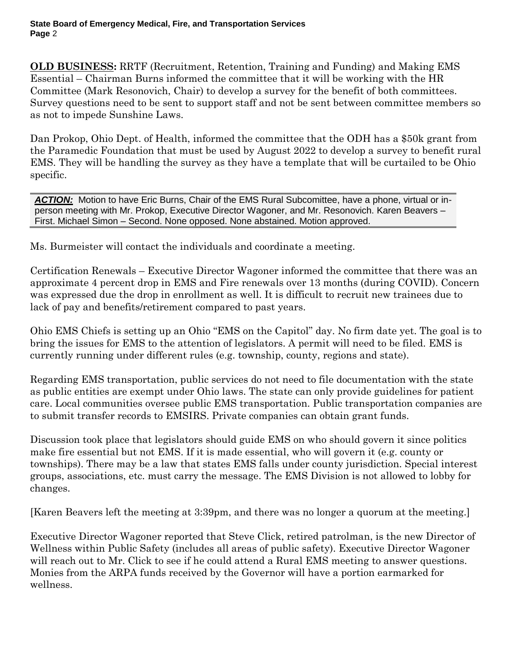**OLD BUSINESS:** RRTF (Recruitment, Retention, Training and Funding) and Making EMS Essential – Chairman Burns informed the committee that it will be working with the HR Committee (Mark Resonovich, Chair) to develop a survey for the benefit of both committees. Survey questions need to be sent to support staff and not be sent between committee members so as not to impede Sunshine Laws.

Dan Prokop, Ohio Dept. of Health, informed the committee that the ODH has a \$50k grant from the Paramedic Foundation that must be used by August 2022 to develop a survey to benefit rural EMS. They will be handling the survey as they have a template that will be curtailed to be Ohio specific.

ACTION: Motion to have Eric Burns, Chair of the EMS Rural Subcomittee, have a phone, virtual or inperson meeting with Mr. Prokop, Executive Director Wagoner, and Mr. Resonovich. Karen Beavers – First. Michael Simon – Second. None opposed. None abstained. Motion approved.

Ms. Burmeister will contact the individuals and coordinate a meeting.

Certification Renewals – Executive Director Wagoner informed the committee that there was an approximate 4 percent drop in EMS and Fire renewals over 13 months (during COVID). Concern was expressed due the drop in enrollment as well. It is difficult to recruit new trainees due to lack of pay and benefits/retirement compared to past years.

Ohio EMS Chiefs is setting up an Ohio "EMS on the Capitol" day. No firm date yet. The goal is to bring the issues for EMS to the attention of legislators. A permit will need to be filed. EMS is currently running under different rules (e.g. township, county, regions and state).

Regarding EMS transportation, public services do not need to file documentation with the state as public entities are exempt under Ohio laws. The state can only provide guidelines for patient care. Local communities oversee public EMS transportation. Public transportation companies are to submit transfer records to EMSIRS. Private companies can obtain grant funds.

Discussion took place that legislators should guide EMS on who should govern it since politics make fire essential but not EMS. If it is made essential, who will govern it (e.g. county or townships). There may be a law that states EMS falls under county jurisdiction. Special interest groups, associations, etc. must carry the message. The EMS Division is not allowed to lobby for changes.

[Karen Beavers left the meeting at 3:39pm, and there was no longer a quorum at the meeting.]

Executive Director Wagoner reported that Steve Click, retired patrolman, is the new Director of Wellness within Public Safety (includes all areas of public safety). Executive Director Wagoner will reach out to Mr. Click to see if he could attend a Rural EMS meeting to answer questions. Monies from the ARPA funds received by the Governor will have a portion earmarked for wellness.